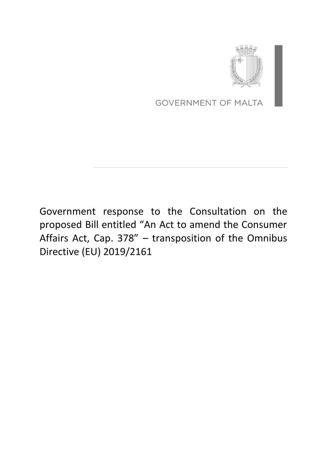

**GOVERNMENT OF MALTA** 

Government response to the Consultation on the proposed Bill entitled "An Act to amend the Consumer Affairs Act, Cap. 378" – transposition of the Omnibus Directive (EU) 2019/2161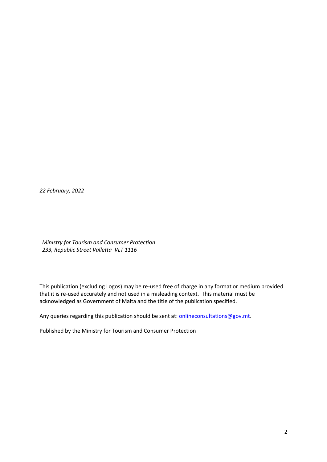*22 February, 2022*

*Ministry for Tourism and Consumer Protection 233, Republic Street Valletta VLT 1116*

This publication (excluding Logos) may be re-used free of charge in any format or medium provided that it is re-used accurately and not used in a misleading context. This material must be acknowledged as Government of Malta and the title of the publication specified.

Any queries regarding this publication should be sent at: **onlineconsultations@gov.mt**.

Published by the Ministry for Tourism and Consumer Protection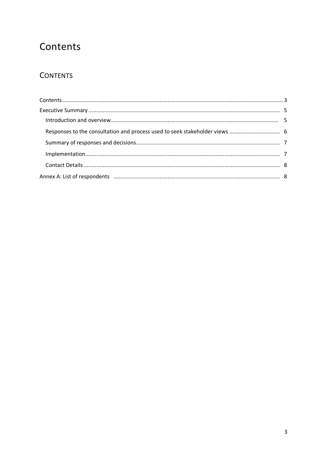## <span id="page-2-0"></span>Contents

### **CONTENTS**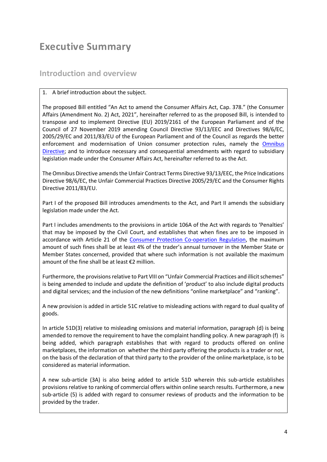## <span id="page-3-0"></span>**Executive Summary**

#### <span id="page-3-1"></span>**Introduction and overview**

#### 1. A brief introduction about the subject.

The proposed Bill entitled "An Act to amend the Consumer Affairs Act, Cap. 378." (the Consumer Affairs (Amendment No. 2) Act, 2021", hereinafter referred to as the proposed Bill, is intended to transpose and to implement Directive (EU) 2019/2161 of the European Parliament and of the Council of 27 November 2019 amending Council Directive 93/13/EEC and Directives 98/6/EC, 2005/29/EC and 2011/83/EU of the European Parliament and of the Council as regards the better enforcement and modernisation of Union consumer protection rules, namely the [Omnibus](https://eur-lex.europa.eu/legal-content/EN/TXT/PDF/?uri=CELEX:32019L2161&from=EN)  [Directive;](https://eur-lex.europa.eu/legal-content/EN/TXT/PDF/?uri=CELEX:32019L2161&from=EN) and to introduce necessary and consequential amendments with regard to subsidiary legislation made under the Consumer Affairs Act, hereinafter referred to as the Act.

The Omnibus Directive amends the Unfair Contract Terms Directive 93/13/EEC, the Price Indications Directive 98/6/EC, the Unfair Commercial Practices Directive 2005/29/EC and the Consumer Rights Directive 2011/83/EU.

Part I of the proposed Bill introduces amendments to the Act, and Part II amends the subsidiary legislation made under the Act.

Part I includes amendments to the provisions in article 106A of the Act with regards to 'Penalties' that may be imposed by the Civil Court, and establishes that when fines are to be imposed in accordance with Article 21 of the [Consumer Protection Co-operation Regulation,](https://eur-lex.europa.eu/legal-content/EN/TXT/PDF/?uri=CELEX:32017R2394&from=EN) the maximum amount of such fines shall be at least 4% of the trader's annual turnover in the Member State or Member States concerned, provided that where such information is not available the maximum amount of the fine shall be at least €2 million.

Furthermore, the provisions relative to Part VIII on "Unfair Commercial Practices and illicit schemes" is being amended to include and update the definition of 'product' to also include digital products and digital services; and the inclusion of the new definitions "online marketplace" and "ranking".

A new provision is added in article 51C relative to misleading actions with regard to dual quality of goods.

In article 51D(3) relative to misleading omissions and material information, paragraph (d) is being amended to remove the requirement to have the complaint handling policy. A new paragraph (f) is being added, which paragraph establishes that with regard to products offered on online marketplaces, the information on whether the third party offering the products is a trader or not, on the basis of the declaration of that third party to the provider of the online marketplace, is to be considered as material information.

A new sub-article (3A) is also being added to article 51D wherein this sub-article establishes provisions relative to ranking of commercial offers within online search results. Furthermore, a new sub-article (5) is added with regard to consumer reviews of products and the information to be provided by the trader.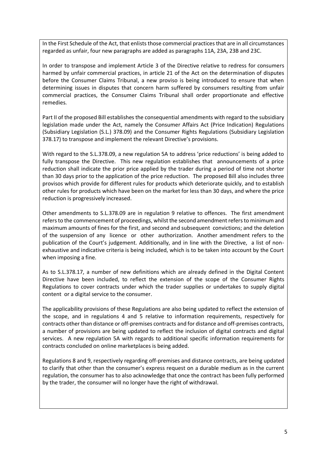In the First Schedule of the Act, that enlists those commercial practices that are in all circumstances regarded as unfair, four new paragraphs are added as paragraphs 11A, 23A, 23B and 23C.

In order to transpose and implement Article 3 of the Directive relative to redress for consumers harmed by unfair commercial practices, in article 21 of the Act on the determination of disputes before the Consumer Claims Tribunal, a new proviso is being introduced to ensure that when determining issues in disputes that concern harm suffered by consumers resulting from unfair commercial practices, the Consumer Claims Tribunal shall order proportionate and effective remedies.

Part II of the proposed Bill establishes the consequential amendments with regard to the subsidiary legislation made under the Act, namely the Consumer Affairs Act (Price Indication) Regulations (Subsidiary Legislation (S.L.) 378.09) and the Consumer Rights Regulations (Subsidiary Legislation 378.17) to transpose and implement the relevant Directive's provisions.

With regard to the S.L.378.09, a new regulation 5A to address 'price reductions' is being added to fully transpose the Directive. This new regulation establishes that announcements of a price reduction shall indicate the prior price applied by the trader during a period of time not shorter than 30 days prior to the application of the price reduction. The proposed Bill also includes three provisos which provide for different rules for products which deteriorate quickly, and to establish other rules for products which have been on the market for less than 30 days, and where the price reduction is progressively increased.

Other amendments to S.L.378.09 are in regulation 9 relative to offences. The first amendment refers to the commencement of proceedings, whilst the second amendment refers to minimum and maximum amounts of fines for the first, and second and subsequent convictions; and the deletion of the suspension of any licence or other authorization. Another amendment refers to the publication of the Court's judgement. Additionally, and in line with the Directive, a list of nonexhaustive and indicative criteria is being included, which is to be taken into account by the Court when imposing a fine.

As to S.L.378.17, a number of new definitions which are already defined in the Digital Content Directive have been included, to reflect the extension of the scope of the Consumer Rights Regulations to cover contracts under which the trader supplies or undertakes to supply digital content or a digital service to the consumer.

The applicability provisions of these Regulations are also being updated to reflect the extension of the scope, and in regulations 4 and 5 relative to information requirements, respectively for contracts other than distance or off-premises contracts and for distance and off-premises contracts, a number of provisions are being updated to reflect the inclusion of digital contracts and digital services. A new regulation 5A with regards to additional specific information requirements for contracts concluded on online marketplaces is being added.

Regulations 8 and 9, respectively regarding off-premises and distance contracts, are being updated to clarify that other than the consumer's express request on a durable medium as in the current regulation, the consumer has to also acknowledge that once the contract has been fully performed by the trader, the consumer will no longer have the right of withdrawal.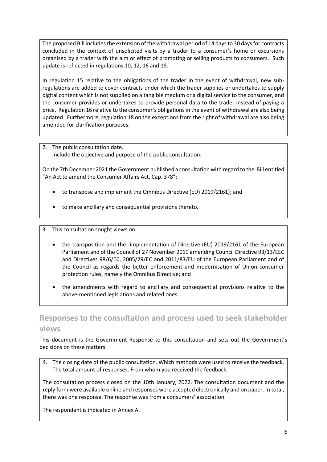The proposed Bill includes the extension of the withdrawal period of 14 days to 30 days for contracts concluded in the context of unsolicited visits by a trader to a consumer's home or excursions organised by a trader with the aim or effect of promoting or selling products to consumers. Such update is reflected in regulations 10, 12, 16 and 18.

In regulation 15 relative to the obligations of the trader in the event of withdrawal, new subregulations are added to cover contracts under which the trader supplies or undertakes to supply digital content which is not supplied on a tangible medium or a digital service to the consumer, and the consumer provides or undertakes to provide personal data to the trader instead of paying a price. Regulation 16 relative to the consumer's obligations in the event of withdrawal are also being updated. Furthermore, regulation 18 on the exceptions from the right of withdrawal are also being amended for clarification purposes.

2. The public consultation date. Include the objective and purpose of the public consultation.

On the 7th December 2021 the Government published a consultation with regard to the Bill entitled "An Act to amend the Consumer Affairs Act, Cap. 378":

- to transpose and implement the Omnibus Directive (EU) 2019/2161); and
- to make ancillary and consequential provisions thereto.

3. This consultation sought views on:

- the transposition and the implementation of Directive (EU) 2019/2161 of the European Parliament and of the Council of 27 November 2019 amending Council Directive 93/13/EEC and Directives 98/6/EC, 2005/29/EC and 2011/83/EU of the European Parliament and of the Council as regards the better enforcement and modernisation of Union consumer protection rules, namely the Omnibus Directive; and
- the amendments with regard to ancillary and consequential provisions relative to the above-mentioned legislations and related ones.

### <span id="page-5-0"></span>**Responses to the consultation and process used to seek stakeholder views**

This document is the Government Response to this consultation and sets out the Government's decisions on these matters.

4. The closing date of the public consultation. Which methods were used to receive the feedback. The total amount of responses. From whom you received the feedback.

The consultation process closed on the 10th January, 2022. The consultation document and the reply form were available online and responses were accepted electronically and on paper. In total, there was one response. The response was from a consumers' association.

The respondent is indicated in Annex A.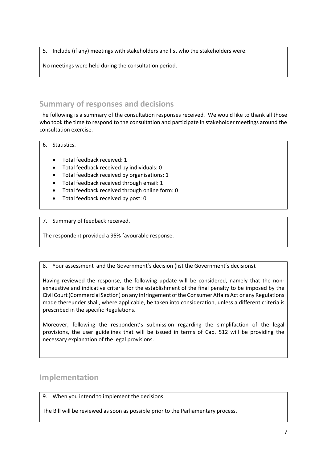5. Include (if any) meetings with stakeholders and list who the stakeholders were.

No meetings were held during the consultation period.

#### <span id="page-6-0"></span>**Summary of responses and decisions**

The following is a summary of the consultation responses received. We would like to thank all those who took the time to respond to the consultation and participate in stakeholder meetings around the consultation exercise.

6. Statistics.

- Total feedback received: 1
- Total feedback received by individuals: 0
- Total feedback received by organisations: 1
- Total feedback received through email: 1
- Total feedback received through online form: 0
- Total feedback received by post: 0

7. Summary of feedback received.

The respondent provided a 95% favourable response.

8. Your assessment and the Government's decision (list the Government's decisions).

Having reviewed the response, the following update will be considered, namely that the nonexhaustive and indicative criteria for the establishment of the final penalty to be imposed by the Civil Court (Commercial Section) on any infringement of the Consumer Affairs Act or any Regulations made thereunder shall, where applicable, be taken into consideration, unless a different criteria is prescribed in the specific Regulations.

Moreover, following the respondent's submission regarding the simplifaction of the legal provisions, the user guidelines that will be issued in terms of Cap. 512 will be providing the necessary explanation of the legal provisions.

#### <span id="page-6-1"></span>**Implementation**

9. When you intend to implement the decisions

The Bill will be reviewed as soon as possible prior to the Parliamentary process.